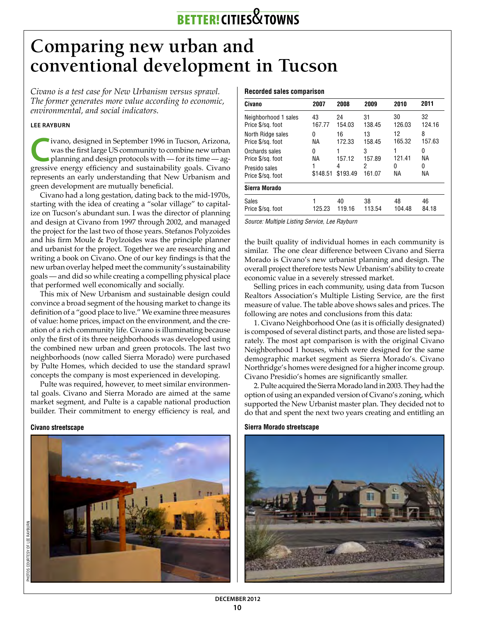# better! **cities**&**towns**

## **Comparing new urban and conventional development in Tucson**

*Civano is a test case for New Urbanism versus sprawl. The former generates more value according to economic, environmental, and social indicators.* 

### **Lee Rayburn**

**C**ivano, designed in September 1996 in Tucson, Arizona, was the first large US community to combine new urban planning and design protocols with — for its time — agwas the first large US community to combine new urban gressive energy efficiency and sustainability goals. Civano represents an early understanding that New Urbanism and green development are mutually beneficial.

Civano had a long gestation, dating back to the mid-1970s, starting with the idea of creating a "solar village" to capitalize on Tucson's abundant sun. I was the director of planning and design at Civano from 1997 through 2002, and managed the project for the last two of those years. Stefanos Polyzoides and his firm Moule & Poylzoides was the principle planner and urbanist for the project. Together we are researching and writing a book on Civano. One of our key findings is that the new urban overlay helped meet the community's sustainability goals — and did so while creating a compelling physical place that performed well economically and socially.

This mix of New Urbanism and sustainable design could convince a broad segment of the housing market to change its definition of a "good place to live." We examine three measures of value: home prices, impact on the environment, and the creation of a rich community life. Civano is illuminating because only the first of its three neighborhoods was developed using the combined new urban and green protocols. The last two neighborhoods (now called Sierra Morado) were purchased by Pulte Homes, which decided to use the standard sprawl concepts the company is most experienced in developing.

Pulte was required, however, to meet similar environmental goals. Civano and Sierra Morado are aimed at the same market segment, and Pulte is a capable national production builder. Their commitment to energy efficiency is real, and

#### **Civano streetscape**



#### **Recorded sales comparison**

| Civano               | 2007     | 2008     | 2009   | 2010   | 2011   |
|----------------------|----------|----------|--------|--------|--------|
| Neighborhood 1 sales | 43       | 24       | 31     | 30     | 32     |
| Price \$/sq. foot    | 167.77   | 154.03   | 138.45 | 126.03 | 124.16 |
| North Ridge sales    | 0        | 16       | 13     | 12     | 8      |
| Price \$/sq. foot    | NА       | 172.33   | 158.45 | 165.32 | 157.63 |
| Orchards sales       | 0        | 157.12   | 3      | 1      | 0      |
| Price \$/sq. foot    | ΝA       |          | 157.89 | 121.41 | NА     |
| Presido sales        | \$148.51 | 4        | 2      | 0      | 0      |
| Price \$/sq. foot    |          | \$193.49 | 161.07 | NА     | NА     |
| Sierra Morado        |          |          |        |        |        |
| Sales                | 125.23   | 40       | 38     | 48     | 46     |
| Price \$/sq. foot    |          | 119.16   | 113.54 | 104.48 | 84.18  |

*Source: Multiple Listing Service, Lee Rayburn*

the built quality of individual homes in each community is similar. The one clear difference between Civano and Sierra Morado is Civano's new urbanist planning and design. The overall project therefore tests New Urbanism's ability to create economic value in a severely stressed market.

Selling prices in each community, using data from Tucson Realtors Association's Multiple Listing Service, are the first measure of value. The table above shows sales and prices. The following are notes and conclusions from this data:

1. Civano Neighborhood One (as it is officially designated) is composed of several distinct parts, and those are listed separately. The most apt comparison is with the original Civano Neighborhood 1 houses, which were designed for the same demographic market segment as Sierra Morado's. Civano Northridge's homes were designed for a higher income group. Civano Presidio's homes are significantly smaller.

2. Pulte acquired the Sierra Morado land in 2003. They had the option of using an expanded version of Civano's zoning, which supported the New Urbanist master plan. They decided not to do that and spent the next two years creating and entitling an

**Sierra Morado streetscape**